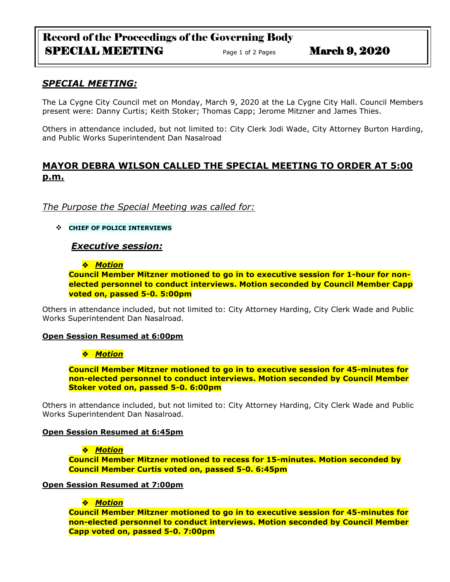# Record of the Proceedings of the Governing Body SPECIAL MEETING<br>  $Page 1 of 2 Pages$  March 9, 2020

# *SPECIAL MEETING:*

The La Cygne City Council met on Monday, March 9, 2020 at the La Cygne City Hall. Council Members present were: Danny Curtis; Keith Stoker; Thomas Capp; Jerome Mitzner and James Thies.

Others in attendance included, but not limited to: City Clerk Jodi Wade, City Attorney Burton Harding, and Public Works Superintendent Dan Nasalroad

# **MAYOR DEBRA WILSON CALLED THE SPECIAL MEETING TO ORDER AT 5:00 p.m.**

# *The Purpose the Special Meeting was called for:*

**CHIEF OF POLICE INTERVIEWS**

### *Executive session:*

#### *Motion*

**Council Member Mitzner motioned to go in to executive session for 1-hour for nonelected personnel to conduct interviews. Motion seconded by Council Member Capp voted on, passed 5-0. 5:00pm**

Others in attendance included, but not limited to: City Attorney Harding, City Clerk Wade and Public Works Superintendent Dan Nasalroad.

#### **Open Session Resumed at 6:00pm**

### *Motion*

**Council Member Mitzner motioned to go in to executive session for 45-minutes for non-elected personnel to conduct interviews. Motion seconded by Council Member Stoker voted on, passed 5-0. 6:00pm**

Others in attendance included, but not limited to: City Attorney Harding, City Clerk Wade and Public Works Superintendent Dan Nasalroad.

### **Open Session Resumed at 6:45pm**

#### **\*** Motion

**Council Member Mitzner motioned to recess for 15-minutes. Motion seconded by Council Member Curtis voted on, passed 5-0. 6:45pm**

#### **Open Session Resumed at 7:00pm**

### *Motion*

**Council Member Mitzner motioned to go in to executive session for 45-minutes for non-elected personnel to conduct interviews. Motion seconded by Council Member Capp voted on, passed 5-0. 7:00pm**